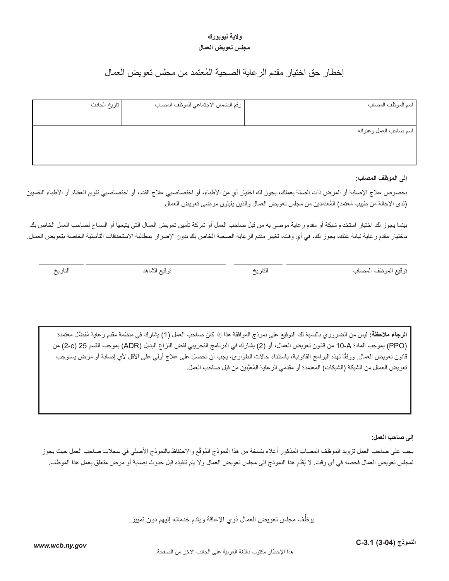## **والية نيويورك مجلس تعويض العمال**

# ُ إخطار حق اختيار مقدم الرعاية الصحية المعتمد من مجلس تعويض العمال

| تاريخ الحادث | [ رقم الضمان الاجتماعي للموظف المصاب | اسم الموظف المصاب      |
|--------------|--------------------------------------|------------------------|
|              |                                      |                        |
|              |                                      |                        |
|              |                                      | اسم صاحب العمل وعنوانه |
|              |                                      |                        |
|              |                                      |                        |
|              |                                      |                        |

#### **إلى الموظف المصاب:**

بخصوص علاج الإصابة أو المرض ذات الصلة بعملك، يجوز لك اختيار أي من الأطباء، أو اختصاصيي علاج القدم، أو اختصاصيي تقويم العظام أو الأطباء النفسيين (لدى الإحالة من طبيب مُعتمد) المُعتمدين من مجلس تعويض العمال والذين يقبلون مرضىي تعويض العمال.

بينما يجوز لك اختيار استخدام شبكة أو مقدم رعاية موصى به من قبل صاحب العمل أو شركة تأمين تعويض العمال التي يتبعها أو السماح لصاحب العمل الخاص بك باختيار مقدم رعاية نيابة عنك، يجوز لك، في أي وقت، تغيير مقدم الرعاية الصحية الخاص بك بدون اإلضرار بمطالبة االستحقاقات التأمينية الخاصة بتعويض العمال.

توقيع الموظف المصاب التاريخ توقيع الشاهد التاريخ

ا**لرجاء ملاحظة:** ليس من الضروري بالنسبة لك التوقيع على نموذج الموافقة هذا إذا كان صاحب العمل (1) يشارك في منظمة مقدم رعاية مُفضّل معتمدة )PPO )بموجب المادة A10- من قانون تعويض العمال، أو )2( يشارك في البرنامج التجريبي لفض النزاع البديل )ADR )بموجب القسم 25 )c2- )من قانون تعويض العمال. ووفقًا لهذه البرامج القانونية، باستثناء حالات الطوارئ، يجب أن تحصل على علاج أولي على الأقل لأي إصابة أو مرض يستوجب تعويض العمال من الشبكة (الشبكات) المعتمدة أو مقدمي الرعاية المُعيَّنين من قبل صاحب العمل.

**إلى صاحب العمل:**

يجب على صاحب العمل تزويد الموظف المصاب المذكور أعلاه بنسخة من هذا النموذج المُوقّع والاحتفاظ بالنموذج الأصلي في سجلات صاحب العمل حيث يجوز لمجلس تعويض العمال فحصه في أي وقت. لا يُقدِّم هذا النموذج إلى مجلس تعويض العمال ولا يتم تنفيذه قبل حدوث إصابة أو مرض متعلق بعمل هذا الموظف.

> ِّيوظف مجلس تعويض العمال ذوي اإلعاقة ويقدم خدماته إليهم دون تمييز.